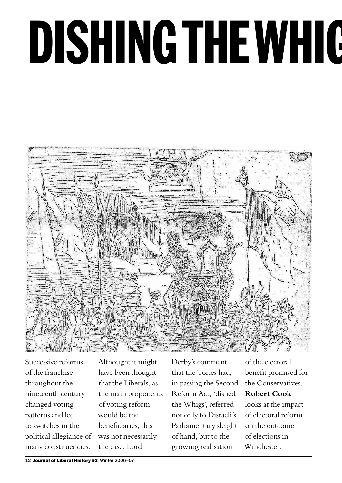# DISHING THE WHIG



Successive reforms of the franchise throughout the nineteenth century changed voting patterns and led to switches in the political allegiance of many constituencies.

Althought it might have been thought that the Liberals, as the main proponents of voting reform, would be the beneficiaries, this was not necessarily the case; Lord

Derby's comment that the Tories had, in passing the Second Reform Act, 'dished the Whigs', referred not only to Disraeli's Parliamentary sleight of hand, but to the growing realisation

of the electoral benefit promised for the Conservatives. **Robert Cook** looks at the impact

of electoral reform on the outcome of elections in Winchester.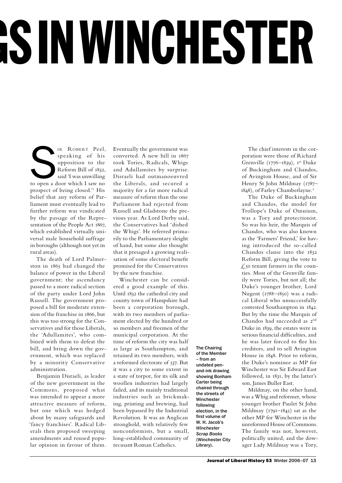## **SIN WINCHESTER**

IR ROBERT Peel,<br>
speaking of his<br>
opposition to the<br>
Reform Bill of 1832,<br>
said 'I was unwilling<br>
to open a door which I saw no speaking of his opposition to the Reform Bill of 1832, said 'I was unwilling prospect of being closed.'<sup>1</sup> His belief that any reform of Parliament must eventually lead to further reform was vindicated by the passage of the Representation of the People Act 1867, which established virtually universal male household suffrage in boroughs (although not yet in rural areas).

The death of Lord Palmerston in 1865 had changed the balance of power in the Liberal government; the ascendancy passed to a more radical section of the party under Lord John Russell. The government proposed a bill for moderate extension of the franchise in 1866, but this was too strong for the Conservatives and for those Liberals, the 'Adullamites', who combined with them to defeat the bill, and bring down the government, which was replaced by a minority Conservative administration.

Benjamin Disraeli, as leader of the new government in the Commons, proposed what was intended to appear a more attractive measure of reform, but one which was hedged about by many safeguards and 'fancy franchises'. Radical Liberals then proposed sweeping amendments and roused popular opinion in favour of them.

Eventually the government was converted. A new bill in 1867 took Tories, Radicals, Whigs and Adullamites by surprise. Disraeli had outmanoeuvred the Liberals, and secured a majority for a far more radical measure of reform than the one Parliament had rejected from Russell and Gladstone the previous year. As Lord Derby said, the Conservatives had 'dished the Whigs'. He referred primarily to the Parliamentary sleight of hand, but some also thought that it presaged a growing realisation of some electoral benefit promised for the Conservatives by the new franchise.

Winchester can be considered a good example of this. Until 1832 the cathedral city and county town of Hampshire had been a corporation borough, with its two members of parliament elected by the hundred or so members and freemen of the municipal corporation. At the time of reform the city was half as large as Southampton, and retained its two members, with a reformed electorate of 537. But it was a city to some extent in a state of torpor, for its silk and woollen industries had largely failed, and its mainly traditional industries such as brickmaking, printing and brewing, had been bypassed by the Industrial Revolution. It was an Anglican stronghold, with relatively few nonconformists, but a small, long-established community of recusant Roman Catholics.

The Chairing of the Member – from an undated penand-ink drawing showing Bonham Carter being chaired through the streets of Winchester following election, in the first volume of W. H. Jacob's *Winchester Scrap Books* (Winchester City Library).

The chief interests in the corporation were those of Richard Grenville ( $1776-1839$ ),  $I<sup>st</sup> Duke$ of Buckingham and Chandos, of Avington House, and of Sir Henry St John Mildmay (1787– 1848), of Farley Chamberlayne.<sup>2</sup>

The Duke of Buckingham and Chandos, the model for Trollope's Duke of Omnium, was a Tory and protectionist. So was his heir, the Marquis of Chandos, who was also known as the 'Farmers' Friend,' for having introduced the so-called Chandos clause into the 1832 Reform Bill, giving the vote to £50 tenant farmers in the counties. Most of the Grenville family were Tories, but not all; the Duke's younger brother, Lord Nugent (1788–1850) was a radical Liberal who unsuccessfully contested Southampton in 1842. But by the time the Marquis of Chandos had succeeded as 2nd Duke in 1839, the estates were in serious financial difficulties, and he was later forced to flee his creditors, and to sell Avington House in 1848. Prior to reform, the Duke's nominee as MP for Winchester was Sir Edward East followed, in 1831, by the latter's son, James Buller East.

Mildmay, on the other hand, was a Whig and reformer, whose younger brother Paulet St John Mildmay (1791–1845) sat as the other MP for Winchester in the unreformed House of Commons. The family was not, however, politically united, and the dowager Lady Mildmay was a Tory,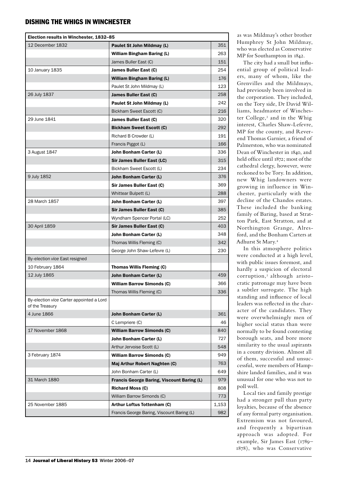| Election results in Winchester, 1832-85                     |                                            |       |
|-------------------------------------------------------------|--------------------------------------------|-------|
| 12 December 1832                                            | Paulet St John Mildmay (L)                 | 351   |
|                                                             | <b>William Bingham Baring (L)</b>          | 263   |
|                                                             | James Buller East (C)                      | 151   |
| 10 January 1835                                             | James Buller East (C)                      | 254   |
|                                                             | <b>William Bingham Baring (L)</b>          | 176   |
|                                                             | Paulet St John Mildmay (L)                 | 123   |
| 26 July 1837                                                | James Buller East (C)                      | 258   |
|                                                             | Paulet St John Mildmay (L)                 | 242   |
|                                                             | Bickham Sweet Escott (C)                   | 216   |
| 29 June 1841                                                | James Buller East (C)                      | 320   |
|                                                             | <b>Bickham Sweet Escott (C)</b>            | 292   |
|                                                             | Richard B Crowder (L)                      | 191   |
|                                                             | Francis Piggot (L)                         | 166   |
| 3 August 1847                                               | John Bonham Carter (L)                     | 336   |
|                                                             | <b>Sir James Buller East (LC)</b>          | 315   |
|                                                             | Bickham Sweet Escott (L)                   | 234   |
| 9 July 1852                                                 | John Bonham Carter (L)                     | 376   |
|                                                             | Sir James Buller East (C)                  | 369   |
|                                                             | Whittear Bulpett (L)                       | 288   |
| 28 March 1857                                               | John Bonham Carter (L)                     | 397   |
|                                                             | Sir James Buller East (C)                  | 385   |
|                                                             | Wyndham Spencer Portal (LC)                | 252   |
| 30 April 1859                                               | Sir James Buller East (C)                  | 403   |
|                                                             | John Bonham Carter (L)                     | 348   |
|                                                             | Thomas Willis Fleming (C)                  | 342   |
|                                                             | George John Shaw-Lefevre (L)               | 230   |
| By-election vice East resigned                              |                                            |       |
| 10 February 1864                                            | <b>Thomas Willis Fleming (C)</b>           |       |
| 12 July 1865                                                | <b>John Bonham Carter (L)</b>              | 459   |
|                                                             | <b>William Barrow Simonds (C)</b>          | 366   |
|                                                             | Thomas Willis Fleming (C)                  | 336   |
| By-election vice Carter appointed a Lord<br>of the Treasury |                                            |       |
| 4 June 1866                                                 | <b>John Bonham Carter (L)</b>              | 361   |
|                                                             | C Lempriere (C)                            | 46    |
| 17 November 1868                                            | <b>William Barrow Simonds (C)</b>          | 840   |
|                                                             | John Bonham Carter (L)                     | 727   |
|                                                             | Arthur Jervoise Scott (L)                  | 548   |
| 3 February 1874                                             | <b>William Barrow Simonds (C)</b>          | 949   |
|                                                             | Maj Arthur Robert Naghten (C)              | 763   |
|                                                             | John Bonham Carter (L)                     | 649   |
| 31 March 1880                                               | Francis George Baring, Viscount Baring (L) | 979   |
|                                                             | <b>Richard Moss (C)</b>                    | 808   |
|                                                             | William Barrow Simonds (C)                 | 773   |
| 25 November 1885                                            | Arthur Loftus Tottenham (C)                | 1,153 |
|                                                             | Francis George Baring, Viscount Baring (L) | 982   |

as was Mildmay's other brother Humphrey St John Mildmay, who was elected as Conservative MP for Southampton in 1842.

The city had a small but influential group of political leaders, many of whom, like the Grenvilles and the Mildmays, had previously been involved in the corporation. They included, on the Tory side, Dr David Williams, headmaster of Winchester College,<sup>3</sup> and in the Whig interest, Charles Shaw-Lefevre, MP for the county, and Reverend Thomas Garnier, a friend of Palmerston, who was nominated Dean of Winchester in 1840, and held office until 1872; most of the cathedral clergy, however, were reckoned to be Tory. In addition, new Whig landowners were growing in influence in Winchester, particularly with the decline of the Chandos estates. These included the banking family of Baring, based at Stratton Park, East Stratton, and at Northington Grange, Alresford, and the Bonham Carters at Adhurst St Mary.<sup>4</sup>

In this atmosphere politics were conducted at a high level, with public issues foremost, and hardly a suspicion of electoral corruption,<sup>5</sup> although aristocratic patronage may have been a subtler surrogate. The high standing and influence of local leaders was reflected in the character of the candidates. They were overwhelmingly men of higher social status than were normally to be found contesting borough seats, and bore more similarity to the usual aspirants in a county division. Almost all of them, successful and unsuccessful, were members of Hampshire landed families, and it was unusual for one who was not to poll well.

Local ties and family prestige had a stronger pull than party loyalties, because of the absence of any formal party organisation. Extremism was not favoured, and frequently a bipartisan approach was adopted. For example, Sir James East (1789– 1878), who was Conservative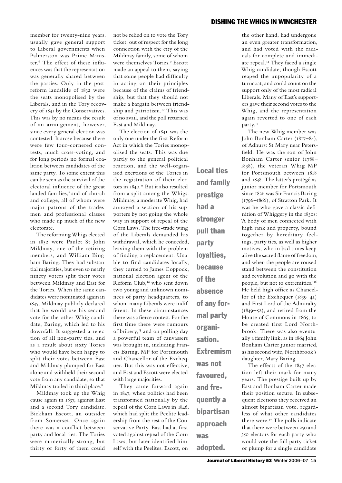member for twenty-nine years, usually gave general support to Liberal governments when Palmerston was Prime Minister.<sup>6</sup> The effect of these influences was that the representation was generally shared between the parties. Only in the postreform landslide of 1832 were the seats monopolised by the Liberals, and in the Tory recovery of 1841 by the Conservatives. This was by no means the result of an arrangement, however, since every general election was contested. It arose because there were few four-cornered contests, much cross-voting, and for long periods no formal coalition between candidates of the same party. To some extent this can be seen as the survival of the electoral influence of the great landed families,<sup>7</sup> and of church and college, all of whom were major patrons of the tradesmen and professional classes who made up much of the new electorate.

The reforming Whigs elected in 1832 were Paulet St John Mildmay, one of the retiring members, and William Bingham Baring. They had substantial majorities, but even so nearly ninety voters split their votes between Mildmay and East for the Tories. When the same candidates were nominated again in 1835, Mildmay publicly declared that he would use his second vote for the other Whig candidate, Baring, which led to his downfall. It suggested a rejection of all non-party ties, and as a result about sixty Tories who would have been happy to split their votes between East and Mildmay plumped for East alone and withheld their second vote from any candidate, so that Mildmay trailed in third place.<sup>8</sup>

Mildmay took up the Whig cause again in 1837, against East and a second Tory candidate, Bickham Escott, an outsider from Somerset. Once again there was a conflict between party and local ties. The Tories were numerically strong, but thirty or forty of them could

not be relied on to vote the Tory ticket, out of respect for the long connection with the city of the Mildmay family, some of whom were themselves Tories.<sup>9</sup> Escott made an appeal to them, saying that some people had difficulty in acting on their principles because of the claims of friendship, but that they should not make a bargain between friendship and patriotism.<sup>10</sup> This was of no avail, and the poll returned East and Mildmay.

The election of 1841 was the only one under the first Reform Act in which the Tories monopolised the seats. This was due partly to the general political reaction, and the well-organised exertions of the Tories in the registration of their electors in 1840.<sup>11</sup> But it also resulted from a split among the Whigs. Mildmay, a moderate Whig, had annoyed a section of his supporters by not going the whole way in support of repeal of the Corn Laws. The free-trade wing of the Liberals demanded his withdrawal, which he conceded, leaving them with the problem of finding a replacement. Unable to find candidates locally, they turned to James Coppock, national election agent of the Reform Club,<sup>12</sup> who sent down two young and unknown nominees of party headquarters, to whom many Liberals were indifferent. In these circumstances there was a fierce contest. For the first time there were rumours of bribery,13 and on polling day a powerful team of canvassers was brought in, including Francis Baring, MP for Portsmouth and Chancellor of the Exchequer. But this was not effective, and East and Escott were elected with large majorities.

They came forward again in 1847, when politics had been transformed nationally by the repeal of the Corn Laws in 1846, which had split the Peelite leadership from the rest of the Conservative Party. East had at first voted against repeal of the Corn Laws, but later identified himself with the Peelites. Escott, on

Local ties and family prestige had a stronger pull than party loyalties, because of the absence of any formal party organisation. Extremism was not favoured, and frequently a bipartisan

approach

adopted.

was

the other hand, had undergone an even greater transformation, and had voted with the radicals for complete and immediate repeal.<sup>14</sup> They faced a single Whig candidate, though Escott reaped the unpopularity of a turncoat, and could count on the support only of the most radical Liberals. Many of East's supporters gave their second votes to the Whig, and the representation again reverted to one of each party.<sup>15</sup>

The new Whig member was John Bonham Carter (1817–84), of Adhurst St Mary near Petersfield. He was the son of John Bonham Carter senior (1788– 1838), the veteran Whig MP for Portsmouth between 1818 and 1838. The latter's protégé as junior member for Portsmouth since 1826 was Sir Francis Baring (1796–1866), of Stratton Park. It was he who gave a classic definition of Whiggery in the 1830s: 'A body of men connected with high rank and property, bound together by hereditary feelings, party ties, as well as higher motives, who in bad times keep alive the sacred flame of freedom, and when the people are roused stand between the constitution and revolution and go with the people, but not to extremities.'<sup>16</sup> He held high office as Chancellor of the Exchequer (1839–41) and First Lord of the Admiralty (1849–52), and retired from the House of Commons in 1865, to be created first Lord Northbrook. There was also eventually a family link, as in 1864 John Bonham Carter junior married, as his second wife, Northbrook's daughter, Mary Baring.

The effects of the 1847 election left their mark for many years. The prestige built up by East and Bonham Carter made their position secure. In subsequent elections they received an almost bipartisan vote, regardless of what other candidates there were.17 The polls indicate that there were between 250 and 350 electors for each party who would vote the full party ticket or plump for a single candidate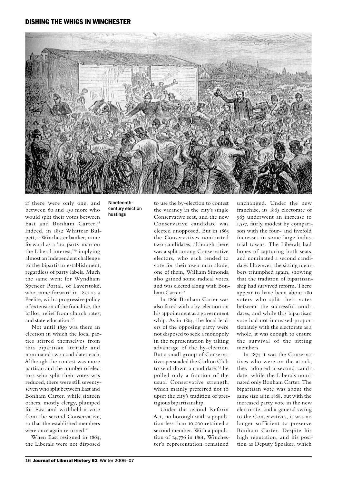

if there were only one, and between 60 and 150 more who would split their votes between East and Bonham Carter.<sup>18</sup> Indeed, in 1852 Whittear Bulpett, a Winchester banker, came forward as a 'no-party man on the Liberal interest,'<sup>19</sup> implying almost an independent challenge to the bipartisan establishment, regardless of party labels. Much the same went for Wyndham Spencer Portal, of Laverstoke, who came forward in 1857 as a Peelite, with a progressive policy of extension of the franchise, the ballot, relief from church rates, and state education.<sup>20</sup>

Not until 1859 was there an election in which the local parties stirred themselves from this bipartisan attitude and nominated two candidates each. Although the contest was more partisan and the number of electors who split their votes was reduced, there were still seventyseven who split between East and Bonham Carter, while sixteen others, mostly clergy, plumped for East and withheld a vote from the second Conservative, so that the established members were once again returned.<sup>21</sup>

When East resigned in 1864, the Liberals were not disposed

Nineteenthcentury election hustings

to use the by-election to contest the vacancy in the city's single Conservative seat, and the new Conservative candidate was elected unopposed. But in 1865 the Conservatives nominated two candidates, although there was a split among Conservative electors, who each tended to vote for their own man alone; one of them, William Simonds, also gained some radical votes, and was elected along with Bonham Carter.<sup>22</sup>

In 1866 Bonham Carter was also faced with a by-election on his appointment as a government whip. As in 1864, the local leaders of the opposing party were not disposed to seek a monopoly in the representation by taking advantage of the by-election. But a small group of Conservatives persuaded the Carlton Club to send down a candidate;<sup>23</sup> he polled only a fraction of the usual Conservative strength, which mainly preferred not to upset the city's tradition of prestigious bipartisanship.

Under the second Reform Act, no borough with a population less than 10,000 retained a second member. With a population of 14,776 in 1861, Winchester's representation remained

unchanged. Under the new franchise, its 1865 electorate of 963 underwent an increase to 1,557, fairly modest by comparison with the four- and fivefold increases in some large industrial towns. The Liberals had hopes of capturing both seats, and nominated a second candidate. However, the sitting members triumphed again, showing that the tradition of bipartisanship had survived reform. There appear to have been about 180 voters who split their votes between the successful candidates, and while this bipartisan vote had not increased proportionately with the electorate as a whole, it was enough to ensure the survival of the sitting members.

In 1874 it was the Conservatives who were on the attack; they adopted a second candidate, while the Liberals nominated only Bonham Carter. The bipartisan vote was about the same size as in 1868, but with the increased party vote in the new electorate, and a general swing to the Conservatives, it was no longer sufficient to preserve Bonham Carter. Despite his high reputation, and his position as Deputy Speaker, which